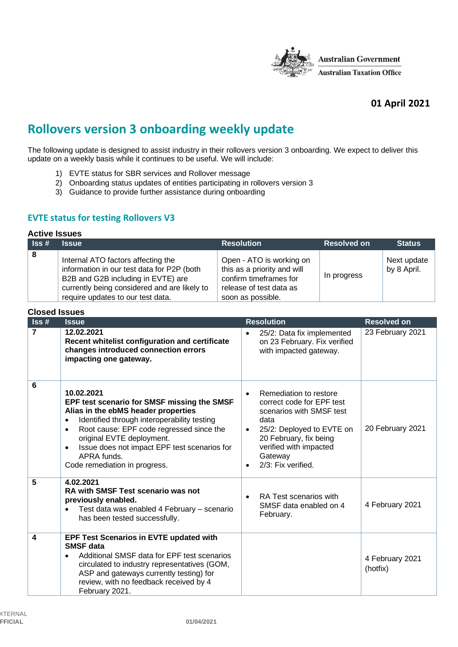

# **01 April 2021**

# **Rollovers version 3 onboarding weekly update**

The following update is designed to assist industry in their rollovers version 3 onboarding. We expect to deliver this update on a weekly basis while it continues to be useful. We will include:

- 1) EVTE status for SBR services and Rollover message
- 2) Onboarding status updates of entities participating in rollovers version 3
- 3) Guidance to provide further assistance during onboarding

# **EVTE status for testing Rollovers V3**

#### **Active Issues**

| $\overline{\phantom{a}}$ Iss # | <b>Issue</b>                                                                                                                                                                                                | <b>Resolution</b>                                                                                                                 | <b>Resolved on</b> | <b>Status</b>              |
|--------------------------------|-------------------------------------------------------------------------------------------------------------------------------------------------------------------------------------------------------------|-----------------------------------------------------------------------------------------------------------------------------------|--------------------|----------------------------|
| -8                             | Internal ATO factors affecting the<br>information in our test data for P2P (both<br>B2B and G2B including in EVTE) are<br>currently being considered and are likely to<br>require updates to our test data. | Open - ATO is working on<br>this as a priority and will<br>confirm timeframes for<br>release of test data as<br>soon as possible. | In progress        | Next update<br>by 8 April. |

| <b>Closed Issues</b>        |                                                                                                                                                                                                                                                                                                                                                                 |                                                                                                                                                                                                                                                  |                             |  |
|-----------------------------|-----------------------------------------------------------------------------------------------------------------------------------------------------------------------------------------------------------------------------------------------------------------------------------------------------------------------------------------------------------------|--------------------------------------------------------------------------------------------------------------------------------------------------------------------------------------------------------------------------------------------------|-----------------------------|--|
| $\textsf{lss}\,\textsf{\#}$ | <b>Issue</b>                                                                                                                                                                                                                                                                                                                                                    | <b>Resolution</b>                                                                                                                                                                                                                                | <b>Resolved on</b>          |  |
| $\overline{7}$              | 12.02.2021<br>Recent whitelist configuration and certificate<br>changes introduced connection errors<br>impacting one gateway.                                                                                                                                                                                                                                  | 25/2: Data fix implemented<br>$\bullet$<br>on 23 February. Fix verified<br>with impacted gateway.                                                                                                                                                | 23 February 2021            |  |
| 6                           | 10.02.2021<br>EPF test scenario for SMSF missing the SMSF<br>Alias in the ebMS header properties<br>Identified through interoperability testing<br>$\bullet$<br>Root cause: EPF code regressed since the<br>$\bullet$<br>original EVTE deployment.<br>Issue does not impact EPF test scenarios for<br>$\bullet$<br>APRA funds.<br>Code remediation in progress. | Remediation to restore<br>$\bullet$<br>correct code for EPF test<br>scenarios with SMSF test<br>data<br>25/2: Deployed to EVTE on<br>$\bullet$<br>20 February, fix being<br>verified with impacted<br>Gateway<br>2/3: Fix verified.<br>$\bullet$ | 20 February 2021            |  |
| 5                           | 4.02.2021<br>RA with SMSF Test scenario was not<br>previously enabled.<br>Test data was enabled 4 February - scenario<br>$\bullet$<br>has been tested successfully.                                                                                                                                                                                             | RA Test scenarios with<br>$\bullet$<br>SMSF data enabled on 4<br>February.                                                                                                                                                                       | 4 February 2021             |  |
| 4                           | EPF Test Scenarios in EVTE updated with<br><b>SMSF</b> data<br>Additional SMSF data for EPF test scenarios<br>$\bullet$<br>circulated to industry representatives (GOM,<br>ASP and gateways currently testing) for<br>review, with no feedback received by 4<br>February 2021.                                                                                  |                                                                                                                                                                                                                                                  | 4 February 2021<br>(hotfix) |  |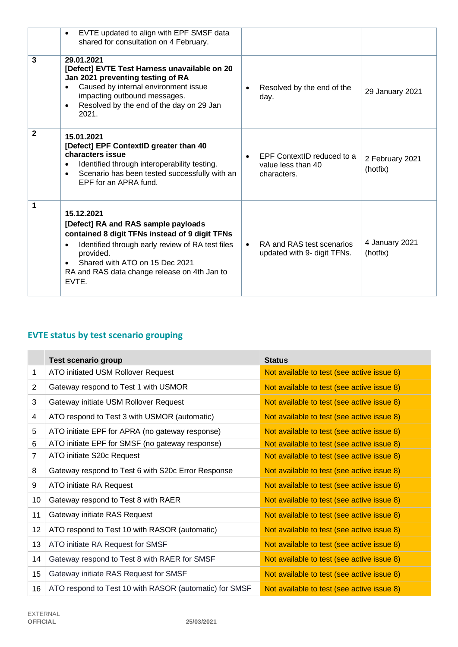|                | EVTE updated to align with EPF SMSF data<br>$\bullet$<br>shared for consultation on 4 February.                                                                                                                                                                      |                                                                 |                             |
|----------------|----------------------------------------------------------------------------------------------------------------------------------------------------------------------------------------------------------------------------------------------------------------------|-----------------------------------------------------------------|-----------------------------|
| $\overline{3}$ | 29.01.2021<br>[Defect] EVTE Test Harness unavailable on 20<br>Jan 2021 preventing testing of RA<br>Caused by internal environment issue<br>$\bullet$<br>impacting outbound messages.<br>Resolved by the end of the day on 29 Jan<br>$\bullet$<br>2021.               | Resolved by the end of the<br>day.                              | 29 January 2021             |
| $\mathbf{2}$   | 15.01.2021<br>[Defect] EPF ContextID greater than 40<br>characters issue<br>Identified through interoperability testing.<br>٠<br>Scenario has been tested successfully with an<br>$\bullet$<br>EPF for an APRA fund.                                                 | EPF ContextID reduced to a<br>value less than 40<br>characters. | 2 February 2021<br>(hotfix) |
| 1              | 15.12.2021<br>[Defect] RA and RAS sample payloads<br>contained 8 digit TFNs instead of 9 digit TFNs<br>Identified through early review of RA test files<br>٠<br>provided.<br>Shared with ATO on 15 Dec 2021<br>RA and RAS data change release on 4th Jan to<br>EVTE. | RA and RAS test scenarios<br>updated with 9- digit TFNs.        | 4 January 2021<br>(hotfix)  |

# **EVTE status by test scenario grouping**

|                  | <b>Test scenario group</b>                             | <b>Status</b>                              |
|------------------|--------------------------------------------------------|--------------------------------------------|
| 1                | ATO initiated USM Rollover Request                     | Not available to test (see active issue 8) |
| 2                | Gateway respond to Test 1 with USMOR                   | Not available to test (see active issue 8) |
| 3                | Gateway initiate USM Rollover Request                  | Not available to test (see active issue 8) |
| 4                | ATO respond to Test 3 with USMOR (automatic)           | Not available to test (see active issue 8) |
| 5                | ATO initiate EPF for APRA (no gateway response)        | Not available to test (see active issue 8) |
| 6                | ATO initiate EPF for SMSF (no gateway response)        | Not available to test (see active issue 8) |
| 7                | ATO initiate S20c Request                              | Not available to test (see active issue 8) |
| 8                | Gateway respond to Test 6 with S20c Error Response     | Not available to test (see active issue 8) |
| 9                | ATO initiate RA Request                                | Not available to test (see active issue 8) |
| 10               | Gateway respond to Test 8 with RAER                    | Not available to test (see active issue 8) |
| 11               | Gateway initiate RAS Request                           | Not available to test (see active issue 8) |
| 12               | ATO respond to Test 10 with RASOR (automatic)          | Not available to test (see active issue 8) |
| 13               | ATO initiate RA Request for SMSF                       | Not available to test (see active issue 8) |
| 14               | Gateway respond to Test 8 with RAER for SMSF           | Not available to test (see active issue 8) |
| 15 <sub>15</sub> | Gateway initiate RAS Request for SMSF                  | Not available to test (see active issue 8) |
| 16               | ATO respond to Test 10 with RASOR (automatic) for SMSF | Not available to test (see active issue 8) |